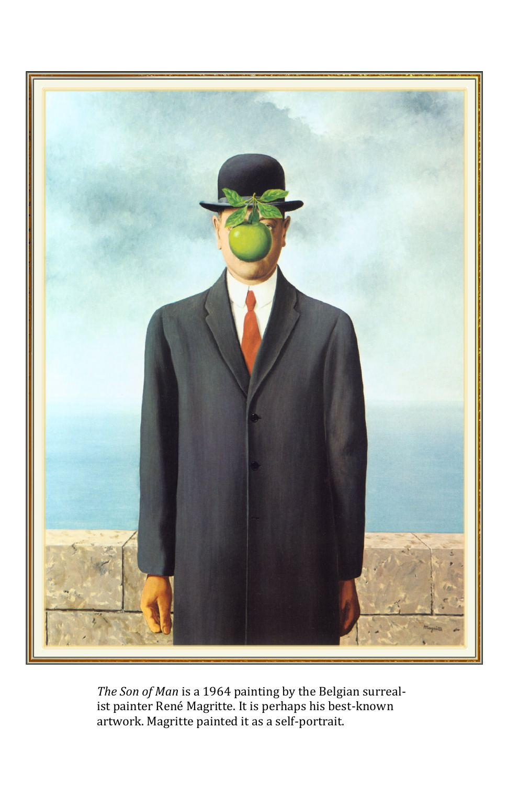

*The Son of Man* is a 1964 painting by the Belgian surrealist painter René Magritte. It is perhaps his best-known artwork. Magritte painted it as a self-portrait.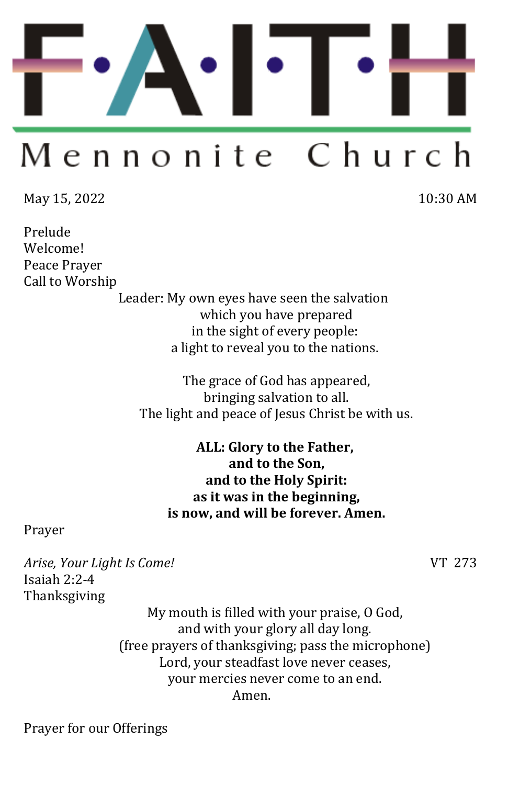

# Mennonite Church

May 15, 2022 10:30 AM

Prelude Welcome! Peace Prayer Call to Worship

Leader: My own eyes have seen the salvation which you have prepared in the sight of every people: a light to reveal you to the nations.

The grace of God has appeared, bringing salvation to all. The light and peace of Jesus Christ be with us.

> **ALL: Glory to the Father, and to the Son, and to the Holy Spirit: as it was in the beginning, is now, and will be forever. Amen.**

Prayer

*Arise, Your Light Is Come!* VT 273 Isaiah 2:2-4 Thanksgiving

My mouth is filled with your praise, O God, and with your glory all day long. (free prayers of thanksgiving; pass the microphone) Lord, your steadfast love never ceases, your mercies never come to an end. Amen.

Prayer for our Offerings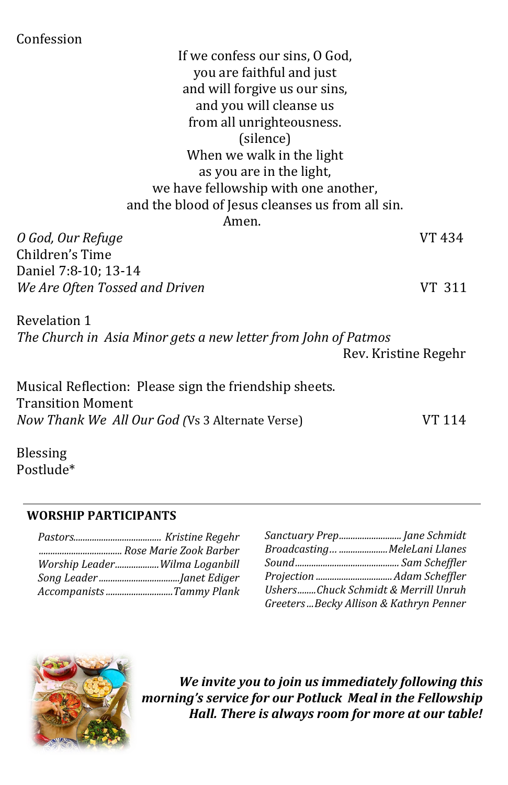Confession

If we confess our sins, O God, you are faithful and just and will forgive us our sins, and you will cleanse us from all unrighteousness. (silence) When we walk in the light as you are in the light, we have fellowship with one another, and the blood of Jesus cleanses us from all sin. Amen. *O God, Our Refuge* VT 434 Children's Time Daniel 7:8-10; 13-14 *We Are Often Tossed and Driven* VT 311 Revelation 1 *The Church in Asia Minor gets a new letter from John of Patmos* Rev. Kristine Regehr Musical Reflection: Please sign the friendship sheets.

Transition Moment *Now Thank We All Our God (Vs 3 Alternate Verse)* VT 114

Blessing Postlude\*

#### **WORSHIP PARTICIPANTS**

| Worship LeaderWilma Loganbill |
|-------------------------------|
|                               |
| Accompanists Tammy Plank      |

| Sanctuary Prep Jane Schmidt             |  |
|-----------------------------------------|--|
| Broadcasting MeleLani Llanes            |  |
|                                         |  |
|                                         |  |
| UshersChuck Schmidt & Merrill Unruh     |  |
| Greeters Becky Allison & Kathryn Penner |  |



*We invite you to join us immediately following this morning's service for our Potluck Meal in the Fellowship Hall. There is always room for more at our table!*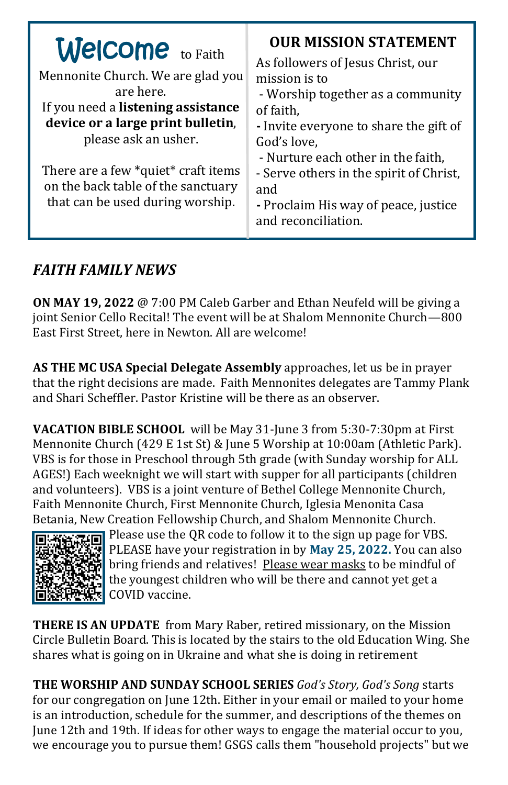## *FAITH FAMILY NEWS*

**ON MAY 19, 2022** @ 7:00 PM Caleb Garber and Ethan Neufeld will be giving a joint Senior Cello Recital! The event will be at Shalom Mennonite Church—800 East First Street, here in Newton. All are welcome!

**AS THE MC USA Special Delegate Assembly** approaches, let us be in prayer that the right decisions are made. Faith Mennonites delegates are Tammy Plank and Shari Scheffler. Pastor Kristine will be there as an observer.

**VACATION BIBLE SCHOOL** will be May 31-June 3 from 5:30-7:30pm at First Mennonite Church (429 E 1st St) & June 5 Worship at 10:00am (Athletic Park). VBS is for those in Preschool through 5th grade (with Sunday worship for ALL AGES!) Each weeknight we will start with supper for all participants (children and volunteers). VBS is a joint venture of Bethel College Mennonite Church, Faith Mennonite Church, First Mennonite Church, Iglesia Menonita Casa Betania, New Creation Fellowship Church, and Shalom Mennonite Church.



Please use the QR code to follow it to the sign up page for VBS. PLEASE have your registration in by **May 25, 2022.** You can also bring friends and relatives! Please wear masks to be mindful of the youngest children who will be there and cannot yet get a COVID vaccine.

**THERE IS AN UPDATE** from Mary Raber, retired missionary, on the Mission Circle Bulletin Board. This is located by the stairs to the old Education Wing. She shares what is going on in Ukraine and what she is doing in retirement

**THE WORSHIP AND SUNDAY SCHOOL SERIES** *God's Story, God's Song* starts for our congregation on June 12th. Either in your email or mailed to your home is an introduction, schedule for the summer, and descriptions of the themes on June 12th and 19th. If ideas for other ways to engage the material occur to you, we encourage you to pursue them! GSGS calls them "household projects" but we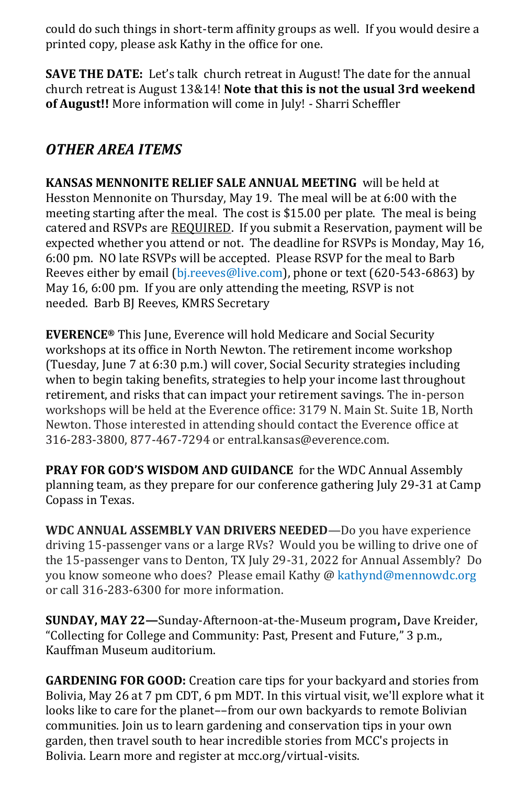could do such things in short-term affinity groups as well. If you would desire a printed copy, please ask Kathy in the office for one.

**SAVE THE DATE:** Let's talk church retreat in August! The date for the annual church retreat is August 13&14! **Note that this is not the usual 3rd weekend of August!!** More information will come in July! - Sharri Scheffler

## *OTHER AREA ITEMS*

**KANSAS MENNONITE RELIEF SALE ANNUAL MEETING** will be held at Hesston Mennonite on Thursday, May 19. The meal will be at 6:00 with the meeting starting after the meal. The cost is \$15.00 per plate. The meal is being catered and RSVPs are REQUIRED. If you submit a Reservation, payment will be expected whether you attend or not. The deadline for RSVPs is Monday, May 16, 6:00 pm. NO late RSVPs will be accepted. Please RSVP for the meal to Barb Reeves either by email ([bj.reeves@live.com\)](mailto:bj.reeves@live.com), phone or text (620-543-6863) by May 16, 6:00 pm. If you are only attending the meeting, RSVP is not needed. Barb BJ Reeves, KMRS Secretary

**EVERENCE®** This June, Everence will hold Medicare and Social Security workshops at its office in North Newton. The retirement income workshop (Tuesday, June 7 at 6:30 p.m.) will cover, Social Security strategies including when to begin taking benefits, strategies to help your income last throughout retirement, and risks that can impact your retirement savings. The in-person workshops will be held at the Everence office: 3179 N. Main St. Suite 1B, North Newton. Those interested in attending should contact the Everence office at 316-283-3800, 877-467-7294 or entral.kansas@everence.com.

**PRAY FOR GOD'S WISDOM AND GUIDANCE** for the WDC Annual Assembly planning team, as they prepare for our conference gathering July 29-31 at Camp Copass in Texas.

**WDC ANNUAL ASSEMBLY VAN DRIVERS NEEDED**—Do you have experience driving 15-passenger vans or a large RVs? Would you be willing to drive one of the 15-passenger vans to Denton, TX July 29-31, 2022 for Annual Assembly? Do you know someone who does? Please email Kathy @ kathynd@mennowdc.org or call 316-283-6300 for more information.

**SUNDAY, MAY 22—**Sunday-Afternoon-at-the-Museum program**,** Dave Kreider, "Collecting for College and Community: Past, Present and Future," 3 p.m., Kauffman Museum auditorium.

**GARDENING FOR GOOD:** Creation care tips for your backyard and stories from Bolivia, May 26 at 7 pm CDT, 6 pm MDT. In this virtual visit, we'll explore what it looks like to care for the planet––from our own backyards to remote Bolivian communities. Join us to learn gardening and conservation tips in your own garden, then travel south to hear incredible stories from MCC's projects in Bolivia. [Learn more and register at mcc.org/virtual](https://mcc.org/mcc-virtual-visits)-visits.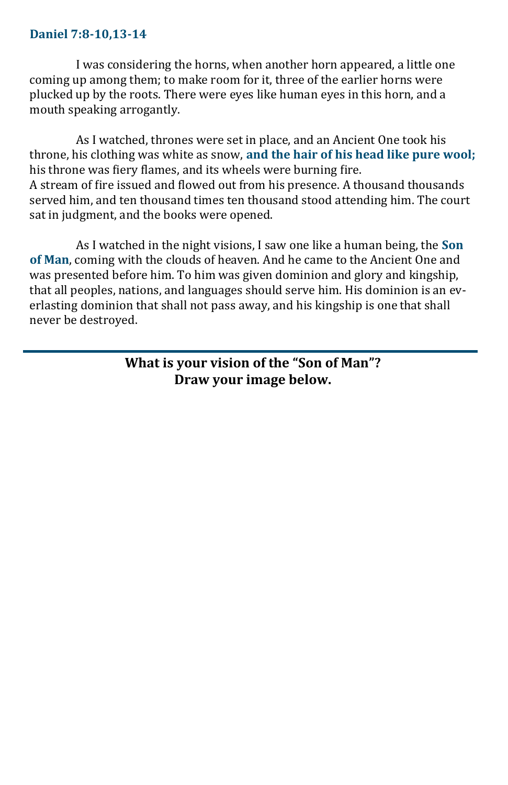#### **Daniel 7:8-10,13-14**

I was considering the horns, when another horn appeared, a little one coming up among them; to make room for it, three of the earlier horns were plucked up by the roots. There were eyes like human eyes in this horn, and a mouth speaking arrogantly.

As I watched, thrones were set in place, and an Ancient One took his throne, his clothing was white as snow, **and the hair of his head like pure wool;**  his throne was fiery flames, and its wheels were burning fire. A stream of fire issued and flowed out from his presence. A thousand thousands served him, and ten thousand times ten thousand stood attending him. The court sat in judgment, and the books were opened.

As I watched in the night visions, I saw one like a human being, the **Son of Man**, coming with the clouds of heaven. And he came to the Ancient One and was presented before him. To him was given dominion and glory and kingship, that all peoples, nations, and languages should serve him. His dominion is an everlasting dominion that shall not pass away, and his kingship is one that shall never be destroyed.

> **What is your vision of the "Son of Man"? Draw your image below.**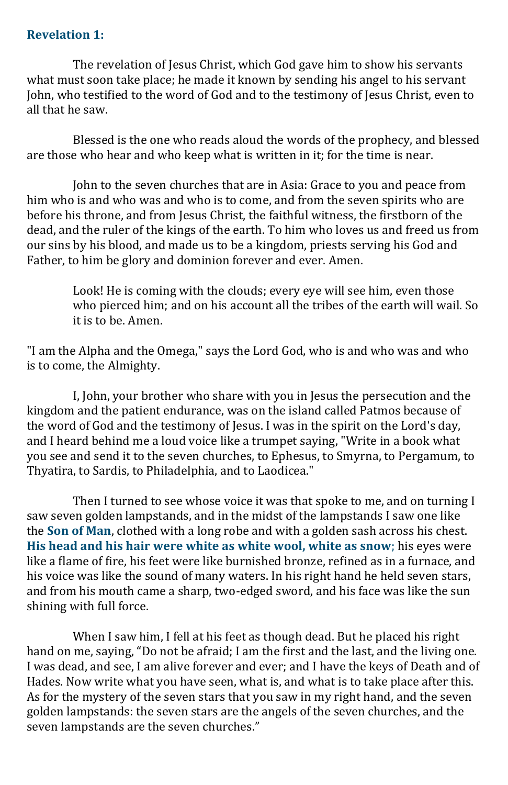#### **Revelation 1:**

The revelation of Jesus Christ, which God gave him to show his servants what must soon take place; he made it known by sending his angel to his servant John, who testified to the word of God and to the testimony of Jesus Christ, even to all that he saw.

Blessed is the one who reads aloud the words of the prophecy, and blessed are those who hear and who keep what is written in it; for the time is near.

John to the seven churches that are in Asia: Grace to you and peace from him who is and who was and who is to come, and from the seven spirits who are before his throne, and from Jesus Christ, the faithful witness, the firstborn of the dead, and the ruler of the kings of the earth. To him who loves us and freed us from our sins by his blood, and made us to be a kingdom, priests serving his God and Father, to him be glory and dominion forever and ever. Amen.

> Look! He is coming with the clouds; every eye will see him, even those who pierced him; and on his account all the tribes of the earth will wail. So it is to be. Amen.

"I am the Alpha and the Omega," says the Lord God, who is and who was and who is to come, the Almighty.

I, John, your brother who share with you in Jesus the persecution and the kingdom and the patient endurance, was on the island called Patmos because of the word of God and the testimony of Jesus. I was in the spirit on the Lord's day, and I heard behind me a loud voice like a trumpet saying, "Write in a book what you see and send it to the seven churches, to Ephesus, to Smyrna, to Pergamum, to Thyatira, to Sardis, to Philadelphia, and to Laodicea."

Then I turned to see whose voice it was that spoke to me, and on turning I saw seven golden lampstands, and in the midst of the lampstands I saw one like the **Son of Man**, clothed with a long robe and with a golden sash across his chest. **His head and his hair were white as white wool, white as snow**; his eyes were like a flame of fire, his feet were like burnished bronze, refined as in a furnace, and his voice was like the sound of many waters. In his right hand he held seven stars, and from his mouth came a sharp, two-edged sword, and his face was like the sun shining with full force.

When I saw him, I fell at his feet as though dead. But he placed his right hand on me, saying, "Do not be afraid; I am the first and the last, and the living one. I was dead, and see, I am alive forever and ever; and I have the keys of Death and of Hades. Now write what you have seen, what is, and what is to take place after this. As for the mystery of the seven stars that you saw in my right hand, and the seven golden lampstands: the seven stars are the angels of the seven churches, and the seven lampstands are the seven churches."